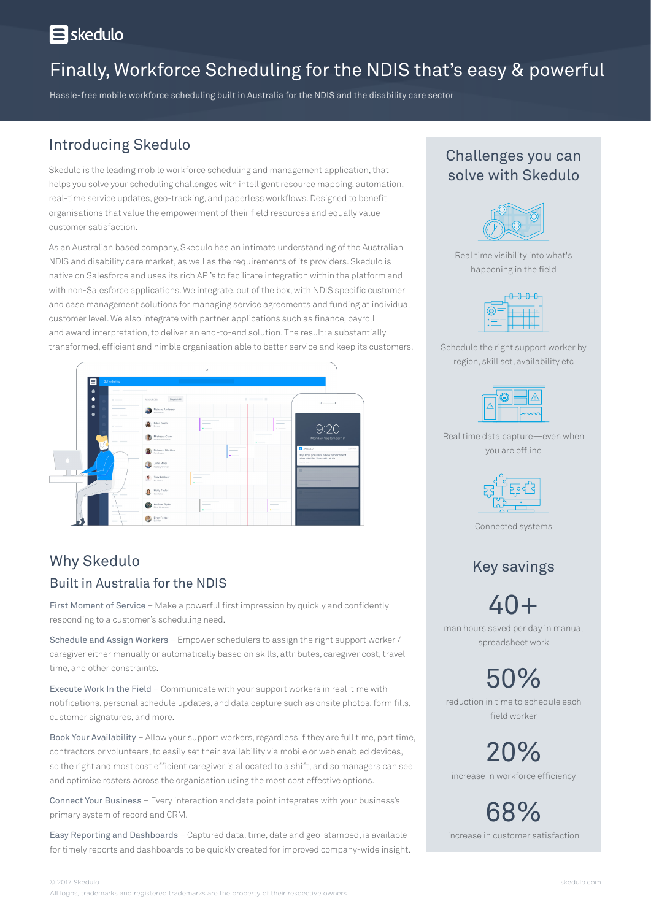# **E** skedulo

# Finally, Workforce Scheduling for the NDIS that's easy & powerful

Hassle-free mobile workforce scheduling built in Australia for the NDIS and the disability care sector

## Introducing Skedulo

Skedulo is the leading mobile workforce scheduling and management application, that helps you solve your scheduling challenges with intelligent resource mapping, automation, real-time service updates, geo-tracking, and paperless workflows. Designed to benefit organisations that value the empowerment of their field resources and equally value customer satisfaction.

As an Australian based company, Skedulo has an intimate understanding of the Australian NDIS and disability care market, as well as the requirements of its providers. Skedulo is native on Salesforce and uses its rich API's to facilitate integration within the platform and with non-Salesforce applications. We integrate, out of the box, with NDIS specific customer and case management solutions for managing service agreements and funding at individual customer level. We also integrate with partner applications such as finance, payroll and award interpretation, to deliver an end-to-end solution. The result: a substantially transformed, efficient and nimble organisation able to better service and keep its customers.



#### Why Skedulo Built in Australia for the NDIS

First Moment of Service – Make a powerful first impression by quickly and confidently responding to a customer's scheduling need.

Schedule and Assign Workers – Empower schedulers to assign the right support worker / caregiver either manually or automatically based on skills, attributes, caregiver cost, travel time, and other constraints.

Execute Work In the Field – Communicate with your support workers in real-time with notifications, personal schedule updates, and data capture such as onsite photos, form fills, customer signatures, and more.

Book Your Availability – Allow your support workers, regardless if they are full time, part time, contractors or volunteers, to easily set their availability via mobile or web enabled devices, so the right and most cost efficient caregiver is allocated to a shift, and so managers can see and optimise rosters across the organisation using the most cost effective options.

Connect Your Business – Every interaction and data point integrates with your business's primary system of record and CRM.

Easy Reporting and Dashboards – Captured data, time, date and geo-stamped, is available for timely reports and dashboards to be quickly created for improved company-wide insight.

### Challenges you can solve with Skedulo



Real time visibility into what's happening in the field



Schedule the right support worker by region, skill set, availability etc



Real time data capture—even when you are offline



Connected systems

# Key savings

40+

man hours saved per day in manual spreadsheet work

50% reduction in time to schedule each

field worker

20%

increase in workforce efficiency

68% increase in customer satisfaction